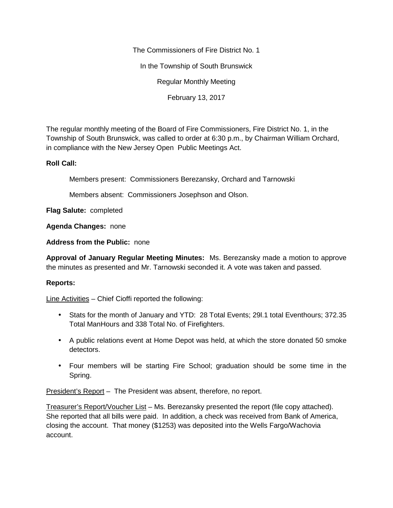The Commissioners of Fire District No. 1

In the Township of South Brunswick

Regular Monthly Meeting

February 13, 2017

The regular monthly meeting of the Board of Fire Commissioners, Fire District No. 1, in the Township of South Brunswick, was called to order at 6:30 p.m., by Chairman William Orchard, in compliance with the New Jersey Open Public Meetings Act.

## **Roll Call:**

Members present: Commissioners Berezansky, Orchard and Tarnowski

Members absent: Commissioners Josephson and Olson.

**Flag Salute:** completed

**Agenda Changes:** none

**Address from the Public:** none

**Approval of January Regular Meeting Minutes:** Ms. Berezansky made a motion to approve the minutes as presented and Mr. Tarnowski seconded it. A vote was taken and passed.

## **Reports:**

Line Activities – Chief Cioffi reported the following:

- Stats for the month of January and YTD: 28 Total Events; 29l.1 total Eventhours; 372.35 Total ManHours and 338 Total No. of Firefighters.
- A public relations event at Home Depot was held, at which the store donated 50 smoke detectors.
- Four members will be starting Fire School; graduation should be some time in the Spring.

President's Report - The President was absent, therefore, no report.

Treasurer's Report/Voucher List – Ms. Berezansky presented the report (file copy attached). She reported that all bills were paid. In addition, a check was received from Bank of America, closing the account. That money (\$1253) was deposited into the Wells Fargo/Wachovia account.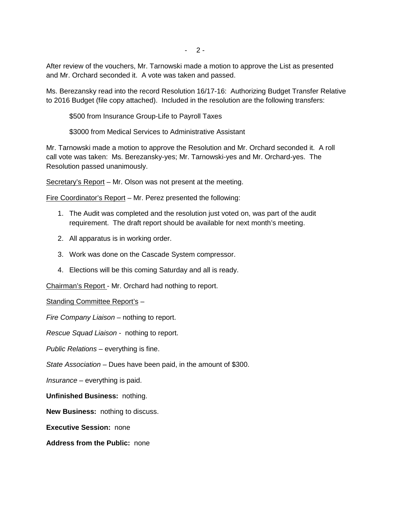$-2-$ 

After review of the vouchers, Mr. Tarnowski made a motion to approve the List as presented and Mr. Orchard seconded it. A vote was taken and passed.

Ms. Berezansky read into the record Resolution 16/17-16: Authorizing Budget Transfer Relative to 2016 Budget (file copy attached). Included in the resolution are the following transfers:

\$500 from Insurance Group-Life to Payroll Taxes

\$3000 from Medical Services to Administrative Assistant

Mr. Tarnowski made a motion to approve the Resolution and Mr. Orchard seconded it. A roll call vote was taken: Ms. Berezansky-yes; Mr. Tarnowski-yes and Mr. Orchard-yes. The Resolution passed unanimously.

Secretary's Report – Mr. Olson was not present at the meeting.

Fire Coordinator's Report – Mr. Perez presented the following:

- 1. The Audit was completed and the resolution just voted on, was part of the audit requirement. The draft report should be available for next month's meeting.
- 2. All apparatus is in working order.
- 3. Work was done on the Cascade System compressor.
- 4. Elections will be this coming Saturday and all is ready.

Chairman's Report - Mr. Orchard had nothing to report.

## Standing Committee Report's –

*Fire Company Liaison –* nothing to report.

*Rescue Squad Liaison -* nothing to report.

*Public Relations –* everything is fine.

*State Association –* Dues have been paid, in the amount of \$300.

*Insurance –* everything is paid.

**Unfinished Business:** nothing.

**New Business:** nothing to discuss.

**Executive Session:** none

**Address from the Public:** none